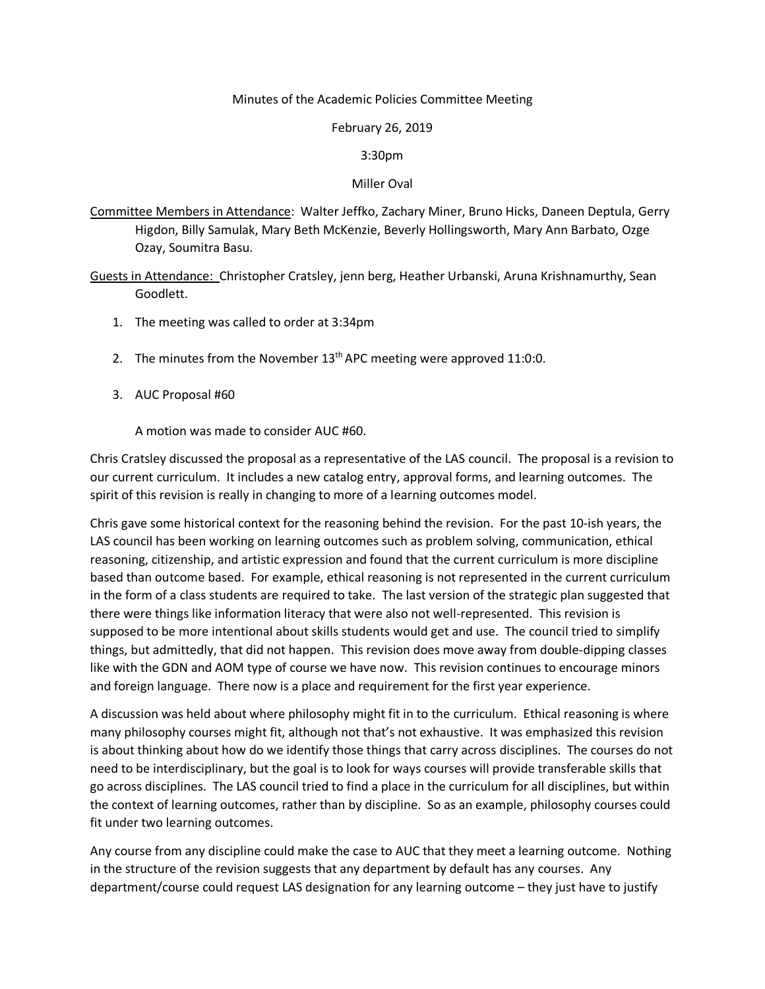## Minutes of the Academic Policies Committee Meeting

## February 26, 2019

## 3:30pm

## Miller Oval

Committee Members in Attendance: Walter Jeffko, Zachary Miner, Bruno Hicks, Daneen Deptula, Gerry Higdon, Billy Samulak, Mary Beth McKenzie, Beverly Hollingsworth, Mary Ann Barbato, Ozge Ozay, Soumitra Basu.

Guests in Attendance: Christopher Cratsley, jenn berg, Heather Urbanski, Aruna Krishnamurthy, Sean Goodlett.

- 1. The meeting was called to order at 3:34pm
- 2. The minutes from the November  $13<sup>th</sup>$  APC meeting were approved 11:0:0.
- 3. AUC Proposal #60

A motion was made to consider AUC #60.

Chris Cratsley discussed the proposal as a representative of the LAS council. The proposal is a revision to our current curriculum. It includes a new catalog entry, approval forms, and learning outcomes. The spirit of this revision is really in changing to more of a learning outcomes model.

Chris gave some historical context for the reasoning behind the revision. For the past 10-ish years, the LAS council has been working on learning outcomes such as problem solving, communication, ethical reasoning, citizenship, and artistic expression and found that the current curriculum is more discipline based than outcome based. For example, ethical reasoning is not represented in the current curriculum in the form of a class students are required to take. The last version of the strategic plan suggested that there were things like information literacy that were also not well-represented. This revision is supposed to be more intentional about skills students would get and use. The council tried to simplify things, but admittedly, that did not happen. This revision does move away from double-dipping classes like with the GDN and AOM type of course we have now. This revision continues to encourage minors and foreign language. There now is a place and requirement for the first year experience.

A discussion was held about where philosophy might fit in to the curriculum. Ethical reasoning is where many philosophy courses might fit, although not that's not exhaustive. It was emphasized this revision is about thinking about how do we identify those things that carry across disciplines. The courses do not need to be interdisciplinary, but the goal is to look for ways courses will provide transferable skills that go across disciplines. The LAS council tried to find a place in the curriculum for all disciplines, but within the context of learning outcomes, rather than by discipline. So as an example, philosophy courses could fit under two learning outcomes.

Any course from any discipline could make the case to AUC that they meet a learning outcome. Nothing in the structure of the revision suggests that any department by default has any courses. Any department/course could request LAS designation for any learning outcome – they just have to justify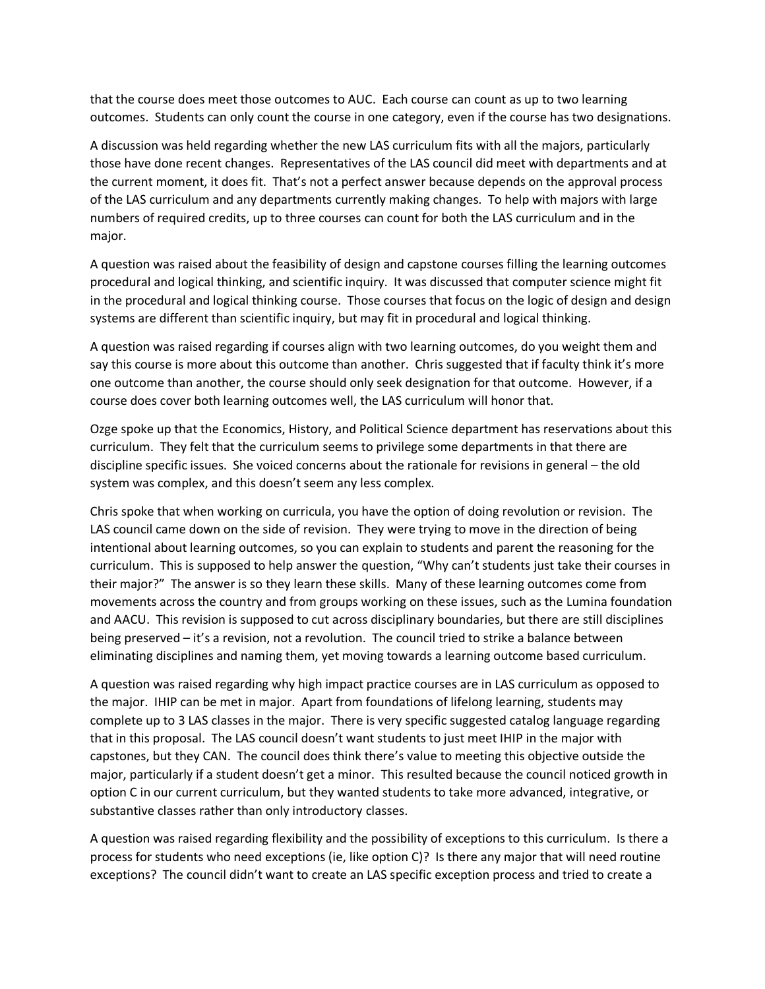that the course does meet those outcomes to AUC. Each course can count as up to two learning outcomes. Students can only count the course in one category, even if the course has two designations.

A discussion was held regarding whether the new LAS curriculum fits with all the majors, particularly those have done recent changes. Representatives of the LAS council did meet with departments and at the current moment, it does fit. That's not a perfect answer because depends on the approval process of the LAS curriculum and any departments currently making changes. To help with majors with large numbers of required credits, up to three courses can count for both the LAS curriculum and in the major.

A question was raised about the feasibility of design and capstone courses filling the learning outcomes procedural and logical thinking, and scientific inquiry. It was discussed that computer science might fit in the procedural and logical thinking course. Those courses that focus on the logic of design and design systems are different than scientific inquiry, but may fit in procedural and logical thinking.

A question was raised regarding if courses align with two learning outcomes, do you weight them and say this course is more about this outcome than another. Chris suggested that if faculty think it's more one outcome than another, the course should only seek designation for that outcome. However, if a course does cover both learning outcomes well, the LAS curriculum will honor that.

Ozge spoke up that the Economics, History, and Political Science department has reservations about this curriculum. They felt that the curriculum seems to privilege some departments in that there are discipline specific issues. She voiced concerns about the rationale for revisions in general – the old system was complex, and this doesn't seem any less complex.

Chris spoke that when working on curricula, you have the option of doing revolution or revision. The LAS council came down on the side of revision. They were trying to move in the direction of being intentional about learning outcomes, so you can explain to students and parent the reasoning for the curriculum. This is supposed to help answer the question, "Why can't students just take their courses in their major?" The answer is so they learn these skills. Many of these learning outcomes come from movements across the country and from groups working on these issues, such as the Lumina foundation and AACU. This revision is supposed to cut across disciplinary boundaries, but there are still disciplines being preserved – it's a revision, not a revolution. The council tried to strike a balance between eliminating disciplines and naming them, yet moving towards a learning outcome based curriculum.

A question was raised regarding why high impact practice courses are in LAS curriculum as opposed to the major. IHIP can be met in major. Apart from foundations of lifelong learning, students may complete up to 3 LAS classes in the major. There is very specific suggested catalog language regarding that in this proposal. The LAS council doesn't want students to just meet IHIP in the major with capstones, but they CAN. The council does think there's value to meeting this objective outside the major, particularly if a student doesn't get a minor. This resulted because the council noticed growth in option C in our current curriculum, but they wanted students to take more advanced, integrative, or substantive classes rather than only introductory classes.

A question was raised regarding flexibility and the possibility of exceptions to this curriculum. Is there a process for students who need exceptions (ie, like option C)? Is there any major that will need routine exceptions? The council didn't want to create an LAS specific exception process and tried to create a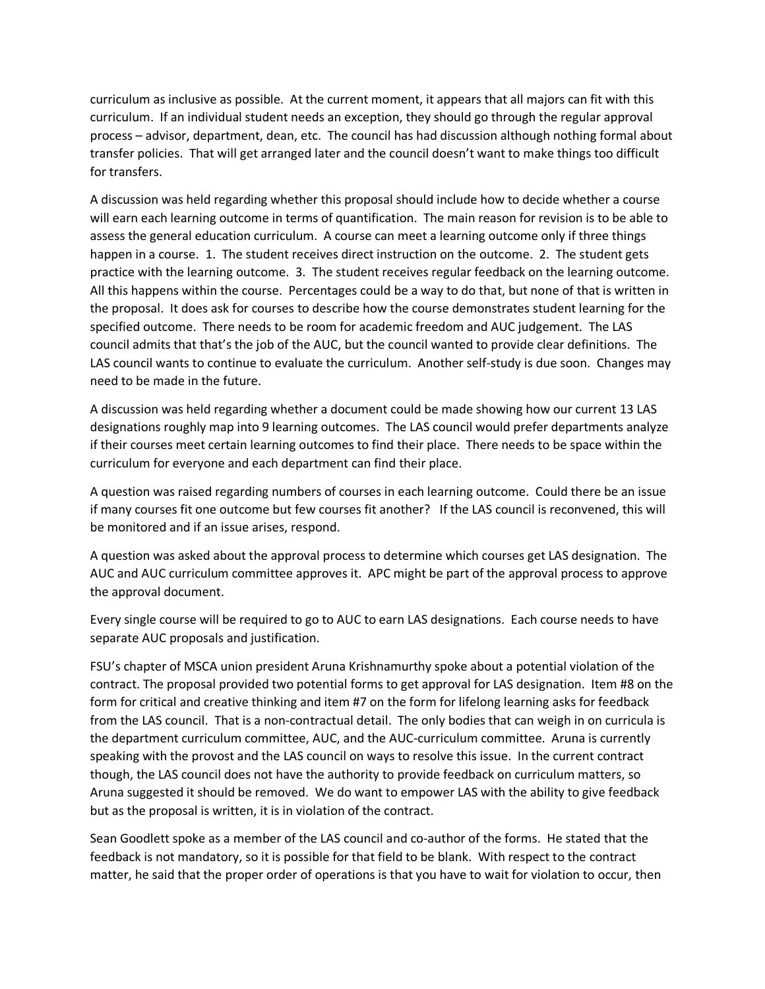curriculum as inclusive as possible. At the current moment, it appears that all majors can fit with this curriculum. If an individual student needs an exception, they should go through the regular approval process – advisor, department, dean, etc. The council has had discussion although nothing formal about transfer policies. That will get arranged later and the council doesn't want to make things too difficult for transfers.

A discussion was held regarding whether this proposal should include how to decide whether a course will earn each learning outcome in terms of quantification. The main reason for revision is to be able to assess the general education curriculum. A course can meet a learning outcome only if three things happen in a course. 1. The student receives direct instruction on the outcome. 2. The student gets practice with the learning outcome. 3. The student receives regular feedback on the learning outcome. All this happens within the course. Percentages could be a way to do that, but none of that is written in the proposal. It does ask for courses to describe how the course demonstrates student learning for the specified outcome. There needs to be room for academic freedom and AUC judgement. The LAS council admits that that's the job of the AUC, but the council wanted to provide clear definitions. The LAS council wants to continue to evaluate the curriculum. Another self-study is due soon. Changes may need to be made in the future.

A discussion was held regarding whether a document could be made showing how our current 13 LAS designations roughly map into 9 learning outcomes. The LAS council would prefer departments analyze if their courses meet certain learning outcomes to find their place. There needs to be space within the curriculum for everyone and each department can find their place.

A question was raised regarding numbers of courses in each learning outcome. Could there be an issue if many courses fit one outcome but few courses fit another? If the LAS council is reconvened, this will be monitored and if an issue arises, respond.

A question was asked about the approval process to determine which courses get LAS designation. The AUC and AUC curriculum committee approves it. APC might be part of the approval process to approve the approval document.

Every single course will be required to go to AUC to earn LAS designations. Each course needs to have separate AUC proposals and justification.

FSU's chapter of MSCA union president Aruna Krishnamurthy spoke about a potential violation of the contract. The proposal provided two potential forms to get approval for LAS designation. Item #8 on the form for critical and creative thinking and item #7 on the form for lifelong learning asks for feedback from the LAS council. That is a non-contractual detail. The only bodies that can weigh in on curricula is the department curriculum committee, AUC, and the AUC-curriculum committee. Aruna is currently speaking with the provost and the LAS council on ways to resolve this issue. In the current contract though, the LAS council does not have the authority to provide feedback on curriculum matters, so Aruna suggested it should be removed. We do want to empower LAS with the ability to give feedback but as the proposal is written, it is in violation of the contract.

Sean Goodlett spoke as a member of the LAS council and co-author of the forms. He stated that the feedback is not mandatory, so it is possible for that field to be blank. With respect to the contract matter, he said that the proper order of operations is that you have to wait for violation to occur, then